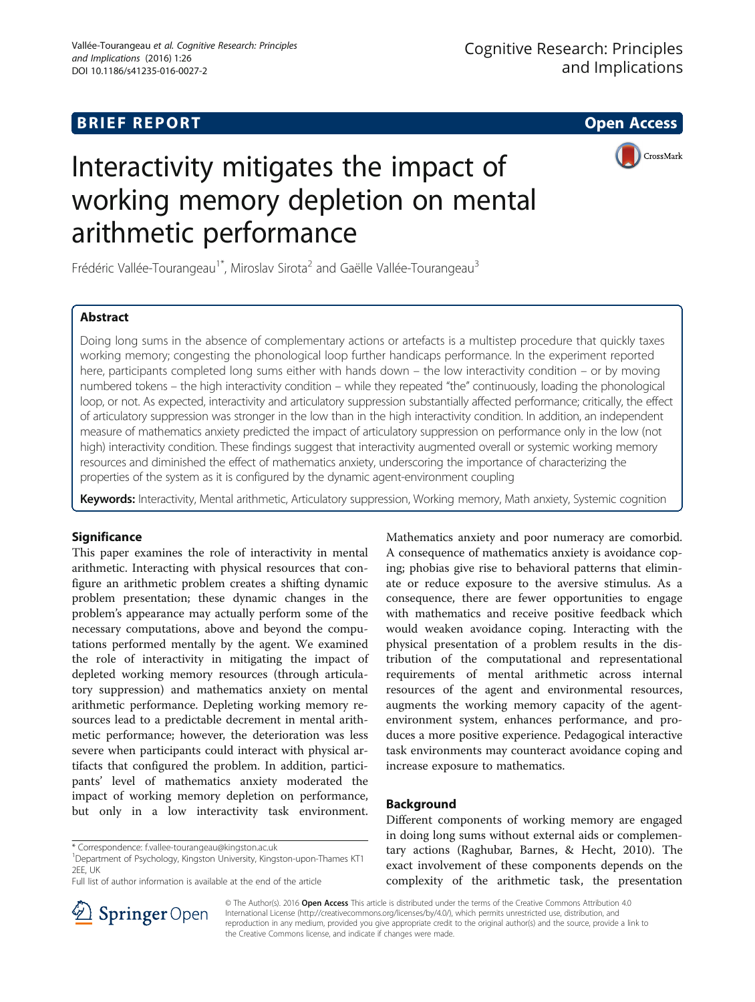# **BRIEF REPORT CONSTRUCTION CONSTRUCTION**

CrossMark



Frédéric Vallée-Tourangeau<sup>1\*</sup>, Miroslav Sirota<sup>2</sup> and Gaëlle Vallée-Tourangeau<sup>3</sup>

# Abstract

Doing long sums in the absence of complementary actions or artefacts is a multistep procedure that quickly taxes working memory; congesting the phonological loop further handicaps performance. In the experiment reported here, participants completed long sums either with hands down – the low interactivity condition – or by moving numbered tokens – the high interactivity condition – while they repeated "the" continuously, loading the phonological loop, or not. As expected, interactivity and articulatory suppression substantially affected performance; critically, the effect of articulatory suppression was stronger in the low than in the high interactivity condition. In addition, an independent measure of mathematics anxiety predicted the impact of articulatory suppression on performance only in the low (not high) interactivity condition. These findings suggest that interactivity augmented overall or systemic working memory resources and diminished the effect of mathematics anxiety, underscoring the importance of characterizing the properties of the system as it is configured by the dynamic agent-environment coupling

Keywords: Interactivity, Mental arithmetic, Articulatory suppression, Working memory, Math anxiety, Systemic cognition

# **Significance**

This paper examines the role of interactivity in mental arithmetic. Interacting with physical resources that configure an arithmetic problem creates a shifting dynamic problem presentation; these dynamic changes in the problem's appearance may actually perform some of the necessary computations, above and beyond the computations performed mentally by the agent. We examined the role of interactivity in mitigating the impact of depleted working memory resources (through articulatory suppression) and mathematics anxiety on mental arithmetic performance. Depleting working memory resources lead to a predictable decrement in mental arithmetic performance; however, the deterioration was less severe when participants could interact with physical artifacts that configured the problem. In addition, participants' level of mathematics anxiety moderated the impact of working memory depletion on performance, but only in a low interactivity task environment.

Mathematics anxiety and poor numeracy are comorbid. A consequence of mathematics anxiety is avoidance coping; phobias give rise to behavioral patterns that eliminate or reduce exposure to the aversive stimulus. As a consequence, there are fewer opportunities to engage with mathematics and receive positive feedback which would weaken avoidance coping. Interacting with the physical presentation of a problem results in the distribution of the computational and representational requirements of mental arithmetic across internal resources of the agent and environmental resources, augments the working memory capacity of the agentenvironment system, enhances performance, and produces a more positive experience. Pedagogical interactive task environments may counteract avoidance coping and increase exposure to mathematics.

# Background

Different components of working memory are engaged in doing long sums without external aids or complementary actions (Raghubar, Barnes, & Hecht, [2010](#page-7-0)). The exact involvement of these components depends on the complexity of the arithmetic task, the presentation



© The Author(s). 2016 Open Access This article is distributed under the terms of the Creative Commons Attribution 4.0 International License ([http://creativecommons.org/licenses/by/4.0/\)](http://creativecommons.org/licenses/by/4.0/), which permits unrestricted use, distribution, and reproduction in any medium, provided you give appropriate credit to the original author(s) and the source, provide a link to the Creative Commons license, and indicate if changes were made.

<sup>\*</sup> Correspondence: [f.vallee-tourangeau@kingston.ac.uk](mailto:f.vallee-tourangeau@kingston.ac.uk) <sup>1</sup>

<sup>&</sup>lt;sup>1</sup>Department of Psychology, Kingston University, Kingston-upon-Thames KT1 2EE, UK

Full list of author information is available at the end of the article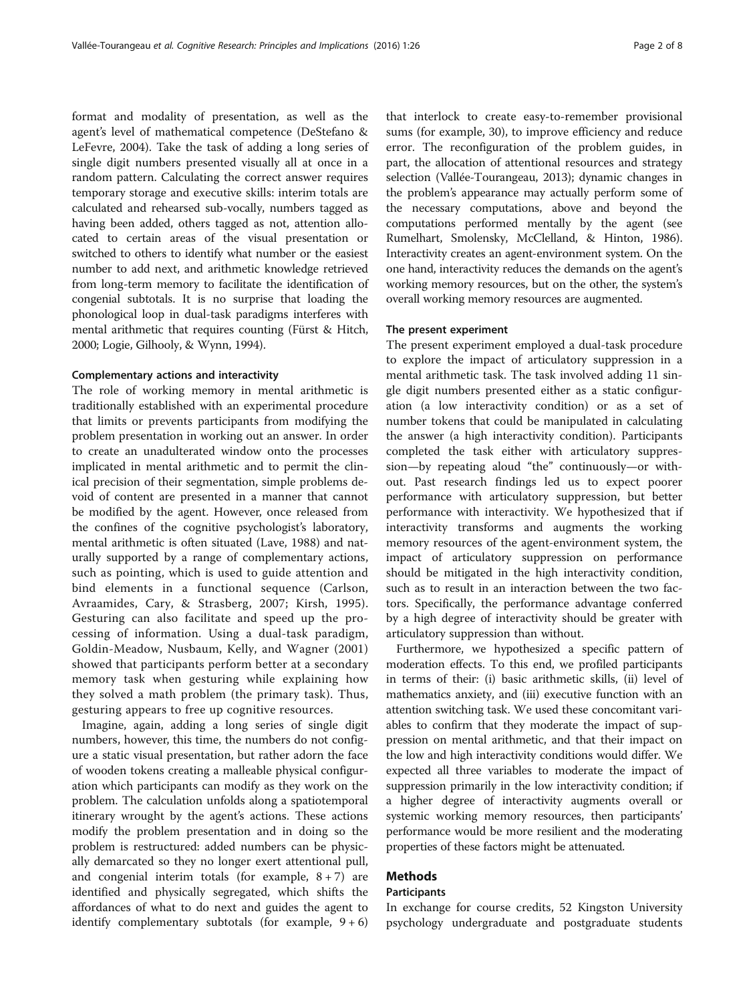format and modality of presentation, as well as the agent's level of mathematical competence (DeStefano & LeFevre, [2004](#page-7-0)). Take the task of adding a long series of single digit numbers presented visually all at once in a random pattern. Calculating the correct answer requires temporary storage and executive skills: interim totals are calculated and rehearsed sub-vocally, numbers tagged as having been added, others tagged as not, attention allocated to certain areas of the visual presentation or switched to others to identify what number or the easiest number to add next, and arithmetic knowledge retrieved from long-term memory to facilitate the identification of congenial subtotals. It is no surprise that loading the phonological loop in dual-task paradigms interferes with mental arithmetic that requires counting (Fürst & Hitch, [2000;](#page-7-0) Logie, Gilhooly, & Wynn, [1994\)](#page-7-0).

### Complementary actions and interactivity

The role of working memory in mental arithmetic is traditionally established with an experimental procedure that limits or prevents participants from modifying the problem presentation in working out an answer. In order to create an unadulterated window onto the processes implicated in mental arithmetic and to permit the clinical precision of their segmentation, simple problems devoid of content are presented in a manner that cannot be modified by the agent. However, once released from the confines of the cognitive psychologist's laboratory, mental arithmetic is often situated (Lave, [1988](#page-7-0)) and naturally supported by a range of complementary actions, such as pointing, which is used to guide attention and bind elements in a functional sequence (Carlson, Avraamides, Cary, & Strasberg, [2007](#page-7-0); Kirsh, [1995](#page-7-0)). Gesturing can also facilitate and speed up the processing of information. Using a dual-task paradigm, Goldin-Meadow, Nusbaum, Kelly, and Wagner ([2001](#page-7-0)) showed that participants perform better at a secondary memory task when gesturing while explaining how they solved a math problem (the primary task). Thus, gesturing appears to free up cognitive resources.

Imagine, again, adding a long series of single digit numbers, however, this time, the numbers do not configure a static visual presentation, but rather adorn the face of wooden tokens creating a malleable physical configuration which participants can modify as they work on the problem. The calculation unfolds along a spatiotemporal itinerary wrought by the agent's actions. These actions modify the problem presentation and in doing so the problem is restructured: added numbers can be physically demarcated so they no longer exert attentional pull, and congenial interim totals (for example,  $8 + 7$ ) are identified and physically segregated, which shifts the affordances of what to do next and guides the agent to identify complementary subtotals (for example, 9 + 6) that interlock to create easy-to-remember provisional sums (for example, 30), to improve efficiency and reduce error. The reconfiguration of the problem guides, in part, the allocation of attentional resources and strategy selection (Vallée-Tourangeau, [2013\)](#page-7-0); dynamic changes in the problem's appearance may actually perform some of the necessary computations, above and beyond the computations performed mentally by the agent (see Rumelhart, Smolensky, McClelland, & Hinton, [1986](#page-7-0)). Interactivity creates an agent-environment system. On the one hand, interactivity reduces the demands on the agent's working memory resources, but on the other, the system's overall working memory resources are augmented.

# The present experiment

The present experiment employed a dual-task procedure to explore the impact of articulatory suppression in a mental arithmetic task. The task involved adding 11 single digit numbers presented either as a static configuration (a low interactivity condition) or as a set of number tokens that could be manipulated in calculating the answer (a high interactivity condition). Participants completed the task either with articulatory suppression—by repeating aloud "the" continuously—or without. Past research findings led us to expect poorer performance with articulatory suppression, but better performance with interactivity. We hypothesized that if interactivity transforms and augments the working memory resources of the agent-environment system, the impact of articulatory suppression on performance should be mitigated in the high interactivity condition, such as to result in an interaction between the two factors. Specifically, the performance advantage conferred by a high degree of interactivity should be greater with articulatory suppression than without.

Furthermore, we hypothesized a specific pattern of moderation effects. To this end, we profiled participants in terms of their: (i) basic arithmetic skills, (ii) level of mathematics anxiety, and (iii) executive function with an attention switching task. We used these concomitant variables to confirm that they moderate the impact of suppression on mental arithmetic, and that their impact on the low and high interactivity conditions would differ. We expected all three variables to moderate the impact of suppression primarily in the low interactivity condition; if a higher degree of interactivity augments overall or systemic working memory resources, then participants' performance would be more resilient and the moderating properties of these factors might be attenuated.

# Methods

# Participants

In exchange for course credits, 52 Kingston University psychology undergraduate and postgraduate students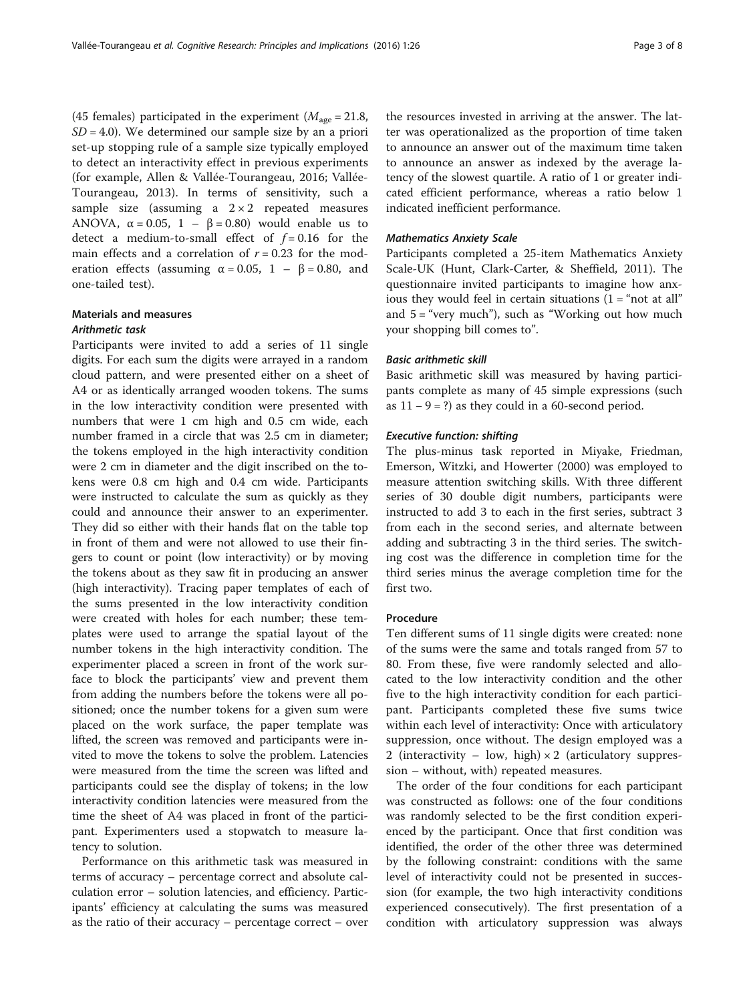(45 females) participated in the experiment ( $M_{\text{age}} = 21.8$ ,  $SD = 4.0$ ). We determined our sample size by an a priori set-up stopping rule of a sample size typically employed to detect an interactivity effect in previous experiments (for example, Allen & Vallée-Tourangeau, [2016](#page-6-0); Vallée-Tourangeau, [2013](#page-7-0)). In terms of sensitivity, such a sample size (assuming a  $2 \times 2$  repeated measures ANOVA,  $\alpha = 0.05$ , 1 –  $\beta = 0.80$ ) would enable us to detect a medium-to-small effect of  $f = 0.16$  for the main effects and a correlation of  $r = 0.23$  for the moderation effects (assuming  $\alpha = 0.05$ , 1 –  $\beta = 0.80$ , and one-tailed test).

# Materials and measures

# Arithmetic task

Participants were invited to add a series of 11 single digits. For each sum the digits were arrayed in a random cloud pattern, and were presented either on a sheet of A4 or as identically arranged wooden tokens. The sums in the low interactivity condition were presented with numbers that were 1 cm high and 0.5 cm wide, each number framed in a circle that was 2.5 cm in diameter; the tokens employed in the high interactivity condition were 2 cm in diameter and the digit inscribed on the tokens were 0.8 cm high and 0.4 cm wide. Participants were instructed to calculate the sum as quickly as they could and announce their answer to an experimenter. They did so either with their hands flat on the table top in front of them and were not allowed to use their fingers to count or point (low interactivity) or by moving the tokens about as they saw fit in producing an answer (high interactivity). Tracing paper templates of each of the sums presented in the low interactivity condition were created with holes for each number; these templates were used to arrange the spatial layout of the number tokens in the high interactivity condition. The experimenter placed a screen in front of the work surface to block the participants' view and prevent them from adding the numbers before the tokens were all positioned; once the number tokens for a given sum were placed on the work surface, the paper template was lifted, the screen was removed and participants were invited to move the tokens to solve the problem. Latencies were measured from the time the screen was lifted and participants could see the display of tokens; in the low interactivity condition latencies were measured from the time the sheet of A4 was placed in front of the participant. Experimenters used a stopwatch to measure latency to solution.

Performance on this arithmetic task was measured in terms of accuracy – percentage correct and absolute calculation error – solution latencies, and efficiency. Participants' efficiency at calculating the sums was measured as the ratio of their accuracy – percentage correct – over the resources invested in arriving at the answer. The latter was operationalized as the proportion of time taken to announce an answer out of the maximum time taken to announce an answer as indexed by the average latency of the slowest quartile. A ratio of 1 or greater indicated efficient performance, whereas a ratio below 1 indicated inefficient performance.

Participants completed a 25-item Mathematics Anxiety Scale-UK (Hunt, Clark-Carter, & Sheffield, [2011](#page-7-0)). The questionnaire invited participants to imagine how anxious they would feel in certain situations  $(1 = "not at all")$ and  $5 =$  "very much"), such as "Working out how much your shopping bill comes to".

Basic arithmetic skill Basic arithmetic skill was measured by having participants complete as many of 45 simple expressions (such as  $11 - 9 = ?$ ) as they could in a 60-second period.

The plus-minus task reported in Miyake, Friedman, Emerson, Witzki, and Howerter ([2000\)](#page-7-0) was employed to measure attention switching skills. With three different series of 30 double digit numbers, participants were instructed to add 3 to each in the first series, subtract 3 from each in the second series, and alternate between adding and subtracting 3 in the third series. The switching cost was the difference in completion time for the third series minus the average completion time for the first two.

### Procedure

Ten different sums of 11 single digits were created: none of the sums were the same and totals ranged from 57 to 80. From these, five were randomly selected and allocated to the low interactivity condition and the other five to the high interactivity condition for each participant. Participants completed these five sums twice within each level of interactivity: Once with articulatory suppression, once without. The design employed was a 2 (interactivity – low, high)  $\times$  2 (articulatory suppression – without, with) repeated measures.

The order of the four conditions for each participant was constructed as follows: one of the four conditions was randomly selected to be the first condition experienced by the participant. Once that first condition was identified, the order of the other three was determined by the following constraint: conditions with the same level of interactivity could not be presented in succession (for example, the two high interactivity conditions experienced consecutively). The first presentation of a condition with articulatory suppression was always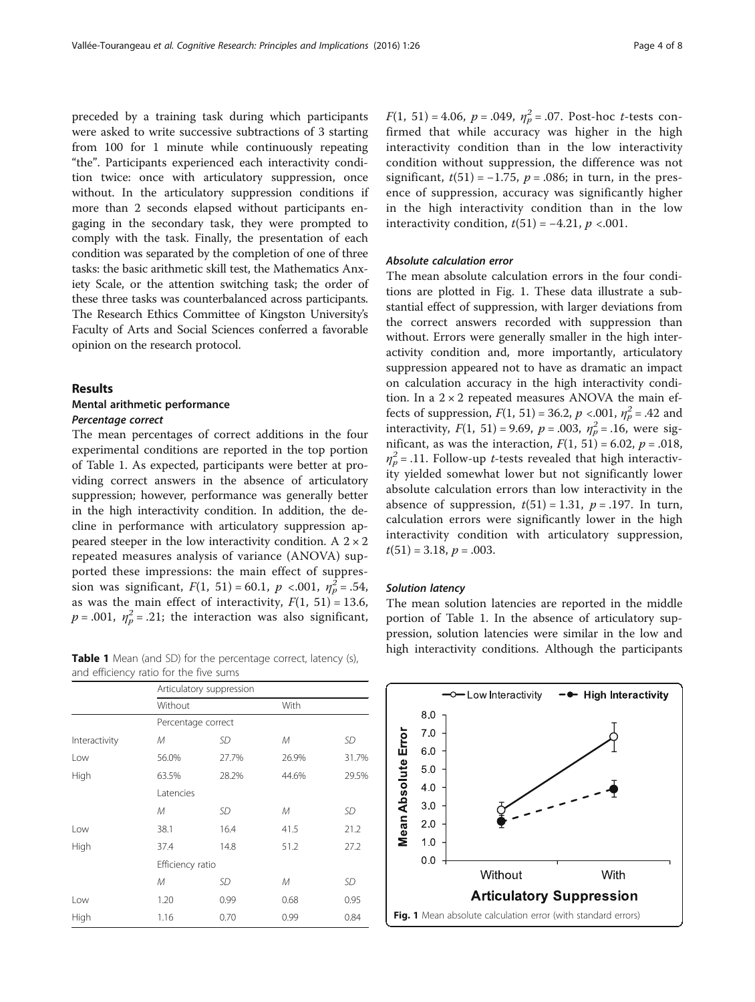<span id="page-3-0"></span>preceded by a training task during which participants were asked to write successive subtractions of 3 starting from 100 for 1 minute while continuously repeating "the". Participants experienced each interactivity condition twice: once with articulatory suppression, once without. In the articulatory suppression conditions if more than 2 seconds elapsed without participants engaging in the secondary task, they were prompted to comply with the task. Finally, the presentation of each condition was separated by the completion of one of three tasks: the basic arithmetic skill test, the Mathematics Anxiety Scale, or the attention switching task; the order of these three tasks was counterbalanced across participants. The Research Ethics Committee of Kingston University's Faculty of Arts and Social Sciences conferred a favorable opinion on the research protocol.

## Results

# Mental arithmetic performance

The mean percentages of correct additions in the four experimental conditions are reported in the top portion of Table 1. As expected, participants were better at providing correct answers in the absence of articulatory suppression; however, performance was generally better in the high interactivity condition. In addition, the decline in performance with articulatory suppression appeared steeper in the low interactivity condition. A  $2 \times 2$ repeated measures analysis of variance (ANOVA) supported these impressions: the main effect of suppression was significant,  $F(1, 51) = 60.1$ ,  $p < .001$ ,  $\eta_p^2 = .54$ , as was the main effect of interactivity,  $F(1, 51) = 13.6$ ,  $p = .001$ ,  $\eta_p^2 = .21$ ; the interaction was also significant,

and efficiency ratio for the five sums

|               | Articulatory suppression |       |       |       |  |  |
|---------------|--------------------------|-------|-------|-------|--|--|
|               | Without                  |       | With  |       |  |  |
|               | Percentage correct       |       |       |       |  |  |
| Interactivity | М                        | SD    | M     | SD    |  |  |
| Low           | 56.0%                    | 27.7% | 26.9% | 31.7% |  |  |
| High          | 63.5%                    | 28.2% | 44.6% | 29.5% |  |  |
|               | Latencies                |       |       |       |  |  |
|               | М                        | SD    | M     | SD    |  |  |
| Low           | 38.1                     | 16.4  | 41.5  | 21.2  |  |  |
| High          | 37.4                     | 14.8  | 51.2  | 27.2  |  |  |
|               | Efficiency ratio         |       |       |       |  |  |
|               | M                        | SD    | M     | SD    |  |  |
| Low           | 1.20                     | 0.99  | 0.68  | 0.95  |  |  |
| High          | 1.16                     | 0.70  | 0.99  | 0.84  |  |  |

 $F(1, 51) = 4.06$ ,  $p = .049$ ,  $\eta_p^2 = .07$ . Post-hoc *t*-tests confirmed that while accuracy was higher in the high interactivity condition than in the low interactivity condition without suppression, the difference was not significant,  $t(51) = -1.75$ ,  $p = .086$ ; in turn, in the presence of suppression, accuracy was significantly higher in the high interactivity condition than in the low interactivity condition,  $t(51) = -4.21$ ,  $p < .001$ .

# Absolute calculation error

The mean absolute calculation errors in the four conditions are plotted in Fig. 1. These data illustrate a substantial effect of suppression, with larger deviations from the correct answers recorded with suppression than without. Errors were generally smaller in the high interactivity condition and, more importantly, articulatory suppression appeared not to have as dramatic an impact on calculation accuracy in the high interactivity condition. In a  $2 \times 2$  repeated measures ANOVA the main effects of suppression,  $F(1, 51) = 36.2$ ,  $p < .001$ ,  $\eta_p^2 = .42$  and interactivity,  $F(1, 51) = 9.69$ ,  $p = .003$ ,  $\eta_p^2 = .16$ , were significant, as was the interaction,  $F(1, 51) = 6.02$ ,  $p = .018$ ,  $\eta_p^2$  = .11. Follow-up *t*-tests revealed that high interactivity yielded somewhat lower but not significantly lower absolute calculation errors than low interactivity in the absence of suppression,  $t(51) = 1.31$ ,  $p = .197$ . In turn, calculation errors were significantly lower in the high interactivity condition with articulatory suppression,  $t(51) = 3.18, p = .003.$ 

The mean solution latencies are reported in the middle portion of Table 1. In the absence of articulatory suppression, solution latencies were similar in the low and **Table 1** Mean (and SD) for the percentage correct, latency (s), high interactivity conditions. Although the participants

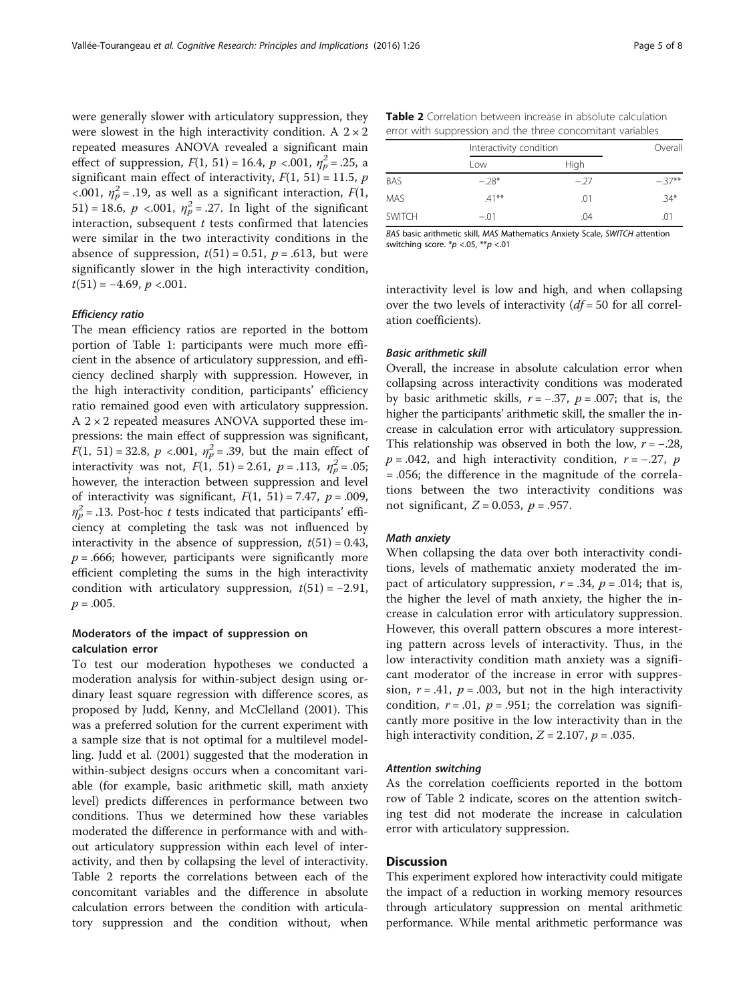were generally slower with articulatory suppression, they were slowest in the high interactivity condition. A  $2 \times 2$ repeated measures ANOVA revealed a significant main effect of suppression,  $F(1, 51) = 16.4$ ,  $p < 0.01$ ,  $\eta_p^2 = .25$ , a significant main effect of interactivity,  $F(1, 51) = 11.5$ ,  $p$  $\epsilon$ .001,  $\eta_p^2$  = .19, as well as a significant interaction,  $F(1, 1)$ 51) = 18.6, p <.001,  $\eta_p^2$  = .27. In light of the significant interaction, subsequent  $t$  tests confirmed that latencies were similar in the two interactivity conditions in the absence of suppression,  $t(51) = 0.51$ ,  $p = .613$ , but were significantly slower in the high interactivity condition,  $t(51) = -4.69, p < 0.001$ .

The mean efficiency ratios are reported in the bottom portion of Table [1](#page-3-0): participants were much more efficient in the absence of articulatory suppression, and efficiency declined sharply with suppression. However, in the high interactivity condition, participants' efficiency ratio remained good even with articulatory suppression. A 2 × 2 repeated measures ANOVA supported these impressions: the main effect of suppression was significant,  $F(1, 51) = 32.8, p < .001, \eta_p^2 = .39$ , but the main effect of interactivity was not,  $F(1, 51) = 2.61$ ,  $p = .113$ ,  $\eta_p^2 = .05$ ; however, the interaction between suppression and level of interactivity was significant,  $F(1, 51) = 7.47$ ,  $p = .009$ ,  $\eta_p^2$  = .13. Post-hoc t tests indicated that participants' efficiency at completing the task was not influenced by interactivity in the absence of suppression,  $t(51) = 0.43$ ,  $p = .666$ ; however, participants were significantly more efficient completing the sums in the high interactivity condition with articulatory suppression,  $t(51) = -2.91$ ,  $p = .005$ .

# Moderators of the impact of suppression on calculation error

To test our moderation hypotheses we conducted a moderation analysis for within-subject design using ordinary least square regression with difference scores, as proposed by Judd, Kenny, and McClelland [\(2001\)](#page-7-0). This was a preferred solution for the current experiment with a sample size that is not optimal for a multilevel modelling. Judd et al. ([2001](#page-7-0)) suggested that the moderation in within-subject designs occurs when a concomitant variable (for example, basic arithmetic skill, math anxiety level) predicts differences in performance between two conditions. Thus we determined how these variables moderated the difference in performance with and without articulatory suppression within each level of interactivity, and then by collapsing the level of interactivity. Table 2 reports the correlations between each of the concomitant variables and the difference in absolute calculation errors between the condition with articulatory suppression and the condition without, when

|  |                                                            |  |  | <b>Table 2</b> Correlation between increase in absolute calculation |
|--|------------------------------------------------------------|--|--|---------------------------------------------------------------------|
|  | error with suppression and the three concomitant variables |  |  |                                                                     |

|               | Interactivity condition |        | Overall  |
|---------------|-------------------------|--------|----------|
|               | Low                     | High   |          |
| BAS           | $-28*$                  | $-.27$ | $-.37**$ |
| <b>MAS</b>    | $41***$                 | .01    | $.34*$   |
| <b>SWITCH</b> | $-.01$                  | .04    | .01      |

BAS basic arithmetic skill, MAS Mathematics Anxiety Scale, SWITCH attention switching score. \*p <.05, \*\*p <.01

interactivity level is low and high, and when collapsing over the two levels of interactivity  $(df = 50$  for all correlation coefficients).

# **Basic arithmetic skill**

Overall, the increase in absolute calculation error when collapsing across interactivity conditions was moderated by basic arithmetic skills,  $r = -.37$ ,  $p = .007$ ; that is, the higher the participants' arithmetic skill, the smaller the increase in calculation error with articulatory suppression. This relationship was observed in both the low,  $r = -0.28$ ,  $p = .042$ , and high interactivity condition,  $r = -.27$ , p = .056; the difference in the magnitude of the correlations between the two interactivity conditions was not significant,  $Z = 0.053$ ,  $p = .957$ .

When collapsing the data over both interactivity conditions, levels of mathematic anxiety moderated the impact of articulatory suppression,  $r = .34$ ,  $p = .014$ ; that is, the higher the level of math anxiety, the higher the increase in calculation error with articulatory suppression. However, this overall pattern obscures a more interesting pattern across levels of interactivity. Thus, in the low interactivity condition math anxiety was a significant moderator of the increase in error with suppression,  $r = .41$ ,  $p = .003$ , but not in the high interactivity condition,  $r = .01$ ,  $p = .951$ ; the correlation was significantly more positive in the low interactivity than in the high interactivity condition,  $Z = 2.107$ ,  $p = .035$ .

As the correlation coefficients reported in the bottom row of Table 2 indicate, scores on the attention switching test did not moderate the increase in calculation error with articulatory suppression.

# **Discussion**

This experiment explored how interactivity could mitigate the impact of a reduction in working memory resources through articulatory suppression on mental arithmetic performance. While mental arithmetic performance was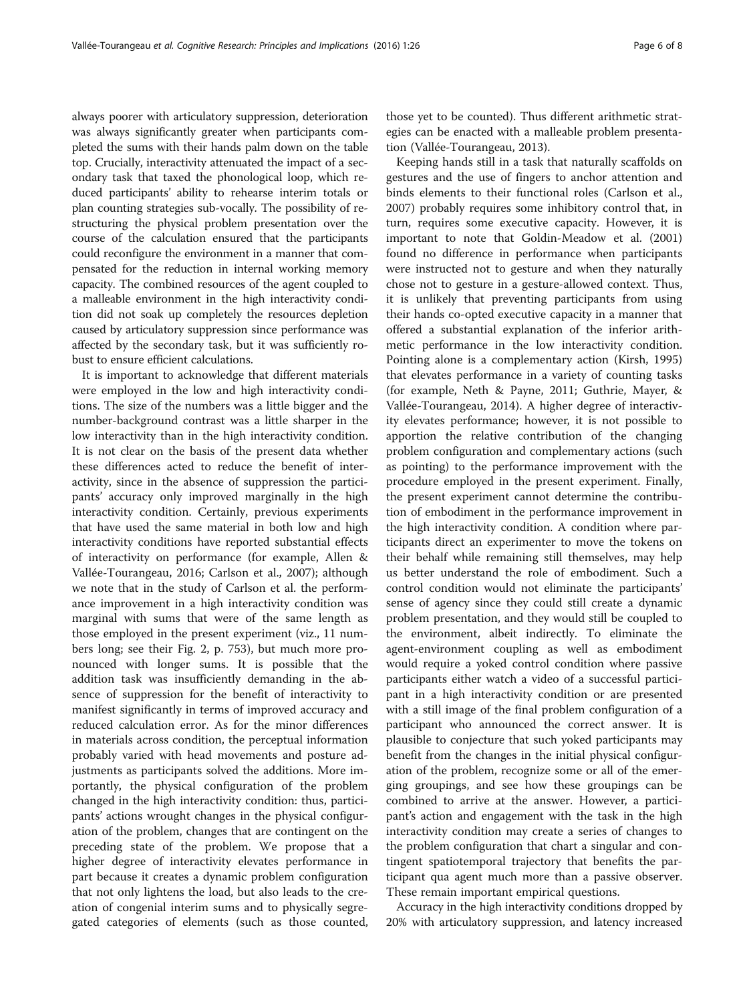always poorer with articulatory suppression, deterioration was always significantly greater when participants completed the sums with their hands palm down on the table top. Crucially, interactivity attenuated the impact of a secondary task that taxed the phonological loop, which reduced participants' ability to rehearse interim totals or plan counting strategies sub-vocally. The possibility of restructuring the physical problem presentation over the course of the calculation ensured that the participants could reconfigure the environment in a manner that compensated for the reduction in internal working memory capacity. The combined resources of the agent coupled to a malleable environment in the high interactivity condition did not soak up completely the resources depletion caused by articulatory suppression since performance was affected by the secondary task, but it was sufficiently robust to ensure efficient calculations.

It is important to acknowledge that different materials were employed in the low and high interactivity conditions. The size of the numbers was a little bigger and the number-background contrast was a little sharper in the low interactivity than in the high interactivity condition. It is not clear on the basis of the present data whether these differences acted to reduce the benefit of interactivity, since in the absence of suppression the participants' accuracy only improved marginally in the high interactivity condition. Certainly, previous experiments that have used the same material in both low and high interactivity conditions have reported substantial effects of interactivity on performance (for example, Allen & Vallée-Tourangeau, [2016](#page-6-0); Carlson et al., [2007\)](#page-7-0); although we note that in the study of Carlson et al. the performance improvement in a high interactivity condition was marginal with sums that were of the same length as those employed in the present experiment (viz., 11 numbers long; see their Fig. 2, p. 753), but much more pronounced with longer sums. It is possible that the addition task was insufficiently demanding in the absence of suppression for the benefit of interactivity to manifest significantly in terms of improved accuracy and reduced calculation error. As for the minor differences in materials across condition, the perceptual information probably varied with head movements and posture adjustments as participants solved the additions. More importantly, the physical configuration of the problem changed in the high interactivity condition: thus, participants' actions wrought changes in the physical configuration of the problem, changes that are contingent on the preceding state of the problem. We propose that a higher degree of interactivity elevates performance in part because it creates a dynamic problem configuration that not only lightens the load, but also leads to the creation of congenial interim sums and to physically segregated categories of elements (such as those counted, those yet to be counted). Thus different arithmetic strategies can be enacted with a malleable problem presentation (Vallée-Tourangeau, [2013\)](#page-7-0).

Keeping hands still in a task that naturally scaffolds on gestures and the use of fingers to anchor attention and binds elements to their functional roles (Carlson et al., [2007](#page-7-0)) probably requires some inhibitory control that, in turn, requires some executive capacity. However, it is important to note that Goldin-Meadow et al. ([2001](#page-7-0)) found no difference in performance when participants were instructed not to gesture and when they naturally chose not to gesture in a gesture-allowed context. Thus, it is unlikely that preventing participants from using their hands co-opted executive capacity in a manner that offered a substantial explanation of the inferior arithmetic performance in the low interactivity condition. Pointing alone is a complementary action (Kirsh, [1995](#page-7-0)) that elevates performance in a variety of counting tasks (for example, Neth & Payne, [2011](#page-7-0); Guthrie, Mayer, & Vallée-Tourangeau, [2014\)](#page-7-0). A higher degree of interactivity elevates performance; however, it is not possible to apportion the relative contribution of the changing problem configuration and complementary actions (such as pointing) to the performance improvement with the procedure employed in the present experiment. Finally, the present experiment cannot determine the contribution of embodiment in the performance improvement in the high interactivity condition. A condition where participants direct an experimenter to move the tokens on their behalf while remaining still themselves, may help us better understand the role of embodiment. Such a control condition would not eliminate the participants' sense of agency since they could still create a dynamic problem presentation, and they would still be coupled to the environment, albeit indirectly. To eliminate the agent-environment coupling as well as embodiment would require a yoked control condition where passive participants either watch a video of a successful participant in a high interactivity condition or are presented with a still image of the final problem configuration of a participant who announced the correct answer. It is plausible to conjecture that such yoked participants may benefit from the changes in the initial physical configuration of the problem, recognize some or all of the emerging groupings, and see how these groupings can be combined to arrive at the answer. However, a participant's action and engagement with the task in the high interactivity condition may create a series of changes to the problem configuration that chart a singular and contingent spatiotemporal trajectory that benefits the participant qua agent much more than a passive observer. These remain important empirical questions.

Accuracy in the high interactivity conditions dropped by 20% with articulatory suppression, and latency increased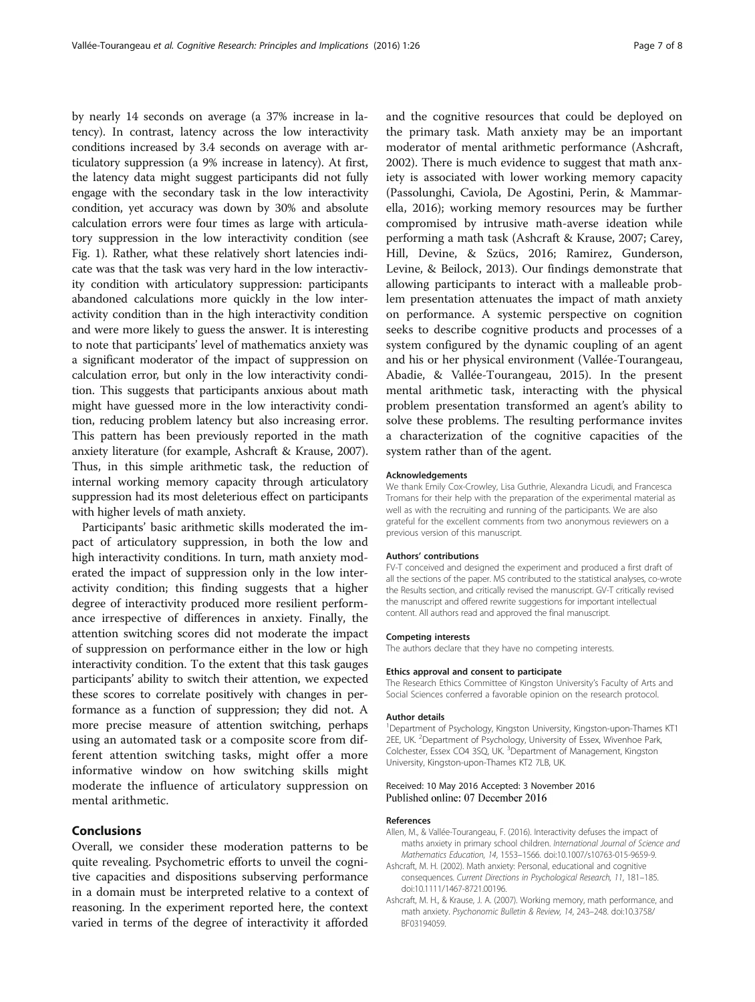<span id="page-6-0"></span>by nearly 14 seconds on average (a 37% increase in latency). In contrast, latency across the low interactivity conditions increased by 3.4 seconds on average with articulatory suppression (a 9% increase in latency). At first, the latency data might suggest participants did not fully engage with the secondary task in the low interactivity condition, yet accuracy was down by 30% and absolute calculation errors were four times as large with articulatory suppression in the low interactivity condition (see Fig. [1\)](#page-3-0). Rather, what these relatively short latencies indicate was that the task was very hard in the low interactivity condition with articulatory suppression: participants abandoned calculations more quickly in the low interactivity condition than in the high interactivity condition and were more likely to guess the answer. It is interesting to note that participants' level of mathematics anxiety was a significant moderator of the impact of suppression on calculation error, but only in the low interactivity condition. This suggests that participants anxious about math might have guessed more in the low interactivity condition, reducing problem latency but also increasing error. This pattern has been previously reported in the math anxiety literature (for example, Ashcraft & Krause, 2007). Thus, in this simple arithmetic task, the reduction of internal working memory capacity through articulatory suppression had its most deleterious effect on participants with higher levels of math anxiety.

Participants' basic arithmetic skills moderated the impact of articulatory suppression, in both the low and high interactivity conditions. In turn, math anxiety moderated the impact of suppression only in the low interactivity condition; this finding suggests that a higher degree of interactivity produced more resilient performance irrespective of differences in anxiety. Finally, the attention switching scores did not moderate the impact of suppression on performance either in the low or high interactivity condition. To the extent that this task gauges participants' ability to switch their attention, we expected these scores to correlate positively with changes in performance as a function of suppression; they did not. A more precise measure of attention switching, perhaps using an automated task or a composite score from different attention switching tasks, might offer a more informative window on how switching skills might moderate the influence of articulatory suppression on mental arithmetic.

# Conclusions

Overall, we consider these moderation patterns to be quite revealing. Psychometric efforts to unveil the cognitive capacities and dispositions subserving performance in a domain must be interpreted relative to a context of reasoning. In the experiment reported here, the context varied in terms of the degree of interactivity it afforded

and the cognitive resources that could be deployed on the primary task. Math anxiety may be an important moderator of mental arithmetic performance (Ashcraft, 2002). There is much evidence to suggest that math anxiety is associated with lower working memory capacity (Passolunghi, Caviola, De Agostini, Perin, & Mammarella, [2016](#page-7-0)); working memory resources may be further compromised by intrusive math-averse ideation while performing a math task (Ashcraft & Krause, 2007; Carey, Hill, Devine, & Szücs, [2016;](#page-7-0) Ramirez, Gunderson, Levine, & Beilock, [2013](#page-7-0)). Our findings demonstrate that allowing participants to interact with a malleable problem presentation attenuates the impact of math anxiety on performance. A systemic perspective on cognition seeks to describe cognitive products and processes of a system configured by the dynamic coupling of an agent and his or her physical environment (Vallée-Tourangeau, Abadie, & Vallée-Tourangeau, [2015](#page-7-0)). In the present mental arithmetic task, interacting with the physical problem presentation transformed an agent's ability to solve these problems. The resulting performance invites a characterization of the cognitive capacities of the system rather than of the agent.

### Acknowledgements

We thank Emily Cox-Crowley, Lisa Guthrie, Alexandra Licudi, and Francesca Tromans for their help with the preparation of the experimental material as well as with the recruiting and running of the participants. We are also grateful for the excellent comments from two anonymous reviewers on a previous version of this manuscript.

### Authors' contributions

FV-T conceived and designed the experiment and produced a first draft of all the sections of the paper. MS contributed to the statistical analyses, co-wrote the Results section, and critically revised the manuscript. GV-T critically revised the manuscript and offered rewrite suggestions for important intellectual content. All authors read and approved the final manuscript.

### Competing interests

The authors declare that they have no competing interests.

### Ethics approval and consent to participate

The Research Ethics Committee of Kingston University's Faculty of Arts and Social Sciences conferred a favorable opinion on the research protocol.

### Author details

<sup>1</sup>Department of Psychology, Kingston University, Kingston-upon-Thames KT1 2EE, UK. <sup>2</sup>Department of Psychology, University of Essex, Wivenhoe Park Colchester, Essex CO4 3SQ, UK. <sup>3</sup>Department of Management, Kingston University, Kingston-upon-Thames KT2 7LB, UK.

## Received: 10 May 2016 Accepted: 3 November 2016 Published online: 07 December 2016

### References

- Allen, M., & Vallée-Tourangeau, F. (2016). Interactivity defuses the impact of maths anxiety in primary school children. International Journal of Science and Mathematics Education, 14, 1553–1566. doi:[10.1007/s10763-015-9659-9.](http://dx.doi.org/10.1007/s10763-015-9659-9)
- Ashcraft, M. H. (2002). Math anxiety: Personal, educational and cognitive consequences. Current Directions in Psychological Research, 11, 181–185. doi[:10.1111/1467-8721.00196.](http://dx.doi.org/10.1111/1467-8721.00196)
- Ashcraft, M. H., & Krause, J. A. (2007). Working memory, math performance, and math anxiety. Psychonomic Bulletin & Review, 14, 243–248. doi:[10.3758/](http://dx.doi.org/10.3758/BF03194059) [BF03194059.](http://dx.doi.org/10.3758/BF03194059)